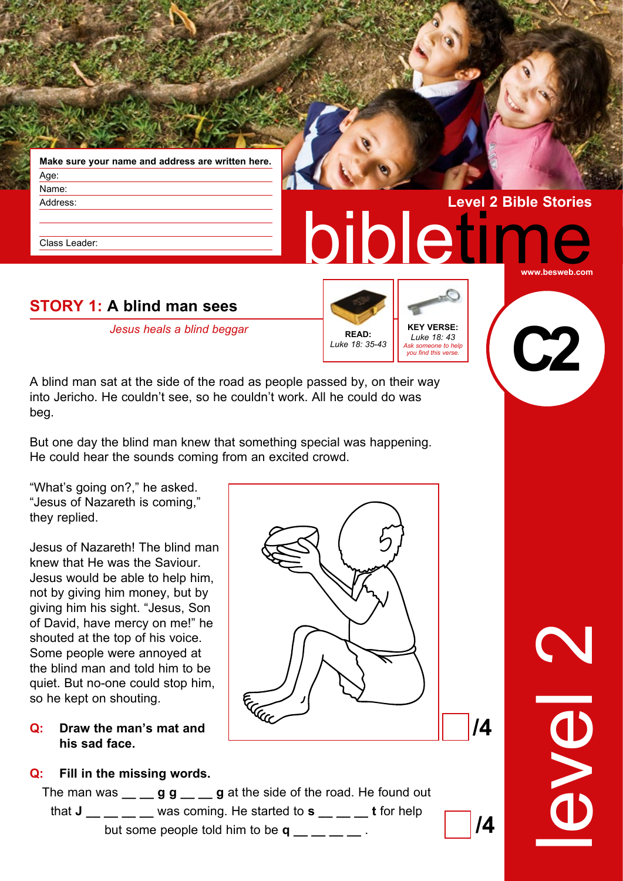| Make sure your name and address are written here. |  |
|---------------------------------------------------|--|
| Age:                                              |  |
| Name:                                             |  |
| Address:                                          |  |

Class Leader:

# **STORY 1: A blind man sees**

*Jesus heals a blind beggar* **KEY VERSE:** 



bibletir

*Luke 18: 43 Ask someone to help you find this verse.* **C2**

**www.besweb.com**

**Level 2 Bible Stories**

A blind man sat at the side of the road as people passed by, on their way into Jericho. He couldn't see, so he couldn't work. All he could do was beg.

But one day the blind man knew that something special was happening. He could hear the sounds coming from an excited crowd.

"What's going on?," he asked. "Jesus of Nazareth is coming," they replied.

Jesus of Nazareth! The blind man knew that He was the Saviour. Jesus would be able to help him, not by giving him money, but by giving him his sight. "Jesus, Son of David, have mercy on me!" he shouted at the top of his voice. Some people were annoyed at the blind man and told him to be quiet. But no-one could stop him, so he kept on shouting.

#### **Q: Draw the man's mat and his sad face.**

## **Q: Fill in the missing words.**

The man was \_\_ \_ g g \_ \_ g at the side of the road. He found out that **J** was coming. He started to **s** t for help but some people told him to be **q**  $\qquad \qquad$  .



level 2

**/4** 

**/4**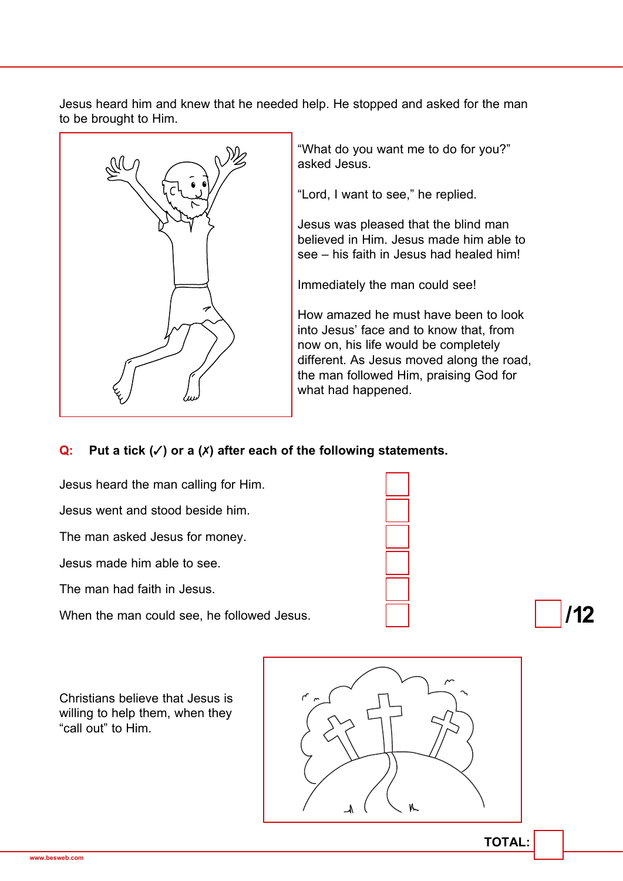Jesus heard him and knew that he needed help. He stopped and asked for the man to be brought to Him.



"What do you want me to do for you?" asked Jesus.

"Lord, I want to see," he replied.

Jesus was pleased that the blind man believed in Him. Jesus made him able to see – his faith in Jesus had healed him!

Immediately the man could see!

How amazed he must have been to look into Jesus' face and to know that, from now on, his life would be completely different. As Jesus moved along the road, the man followed Him, praising God for what had happened.

## **Q: Put a tick (**✓**) or a (**✗**) after each of the following statements.**



Christians believe that Jesus is willing to help them, when they "call out" to Him.

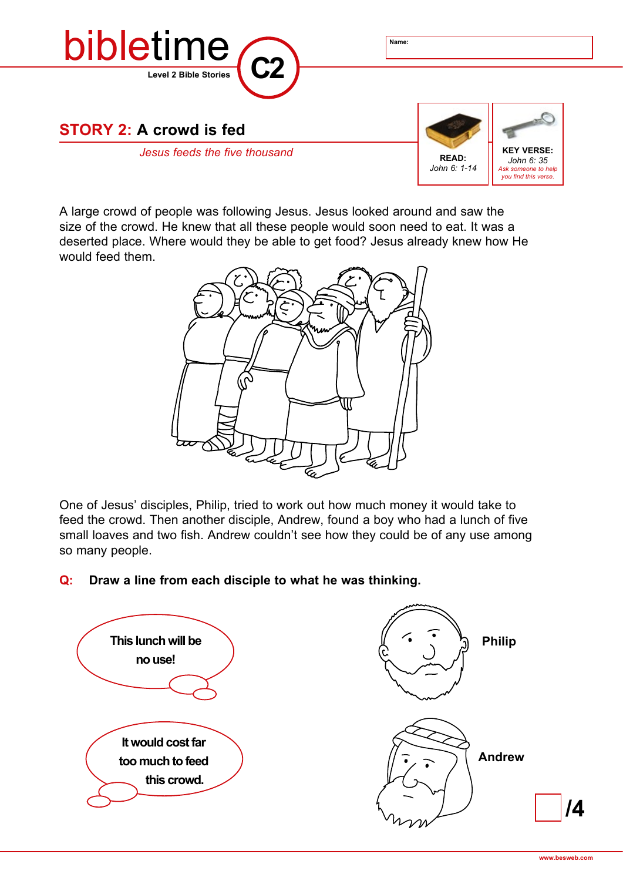

A large crowd of people was following Jesus. Jesus looked around and saw the size of the crowd. He knew that all these people would soon need to eat. It was a deserted place. Where would they be able to get food? Jesus already knew how He would feed them.



One of Jesus' disciples, Philip, tried to work out how much money it would take to feed the crowd. Then another disciple, Andrew, found a boy who had a lunch of five small loaves and two fish. Andrew couldn't see how they could be of any use among so many people.

# **Q: Draw a line from each disciple to what he was thinking.**

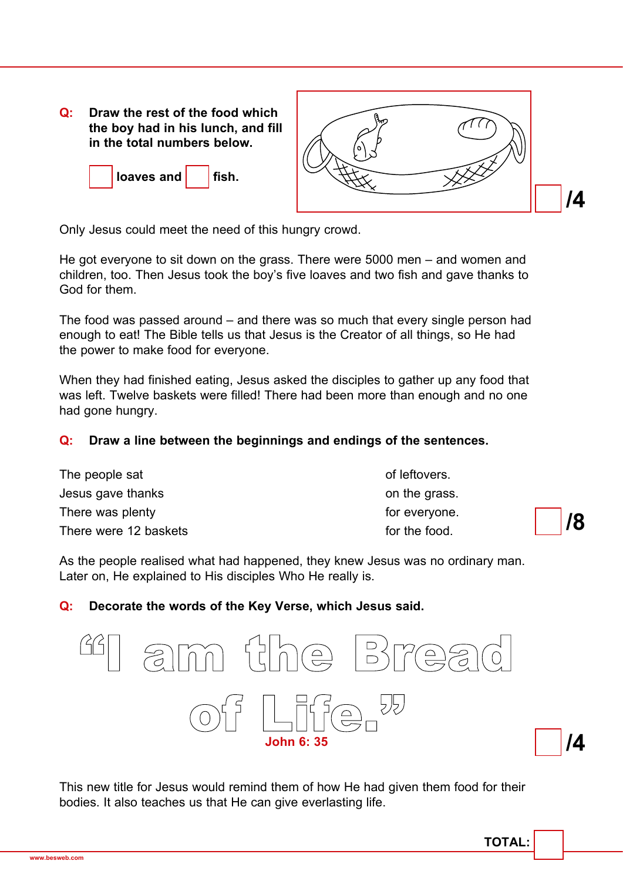**Q: Draw the rest of the food which the boy had in his lunch, and fill in the total numbers below.**





Only Jesus could meet the need of this hungry crowd.

He got everyone to sit down on the grass. There were 5000 men – and women and children, too. Then Jesus took the boy's five loaves and two fish and gave thanks to God for them.

The food was passed around – and there was so much that every single person had enough to eat! The Bible tells us that Jesus is the Creator of all things, so He had the power to make food for everyone.

When they had finished eating, Jesus asked the disciples to gather up any food that was left. Twelve baskets were filled! There had been more than enough and no one had gone hungry.

#### **Q: Draw a line between the beginnings and endings of the sentences.**

| The people sat        | of leftovers.        |
|-----------------------|----------------------|
| Jesus gave thanks     | on the grass.        |
| There was plenty      | for everyone.<br> /8 |
| There were 12 baskets | for the food.        |

As the people realised what had happened, they knew Jesus was no ordinary man. Later on, He explained to His disciples Who He really is.

#### **Q: Decorate the words of the Key Verse, which Jesus said.**



This new title for Jesus would remind them of how He had given them food for their bodies. It also teaches us that He can give everlasting life.

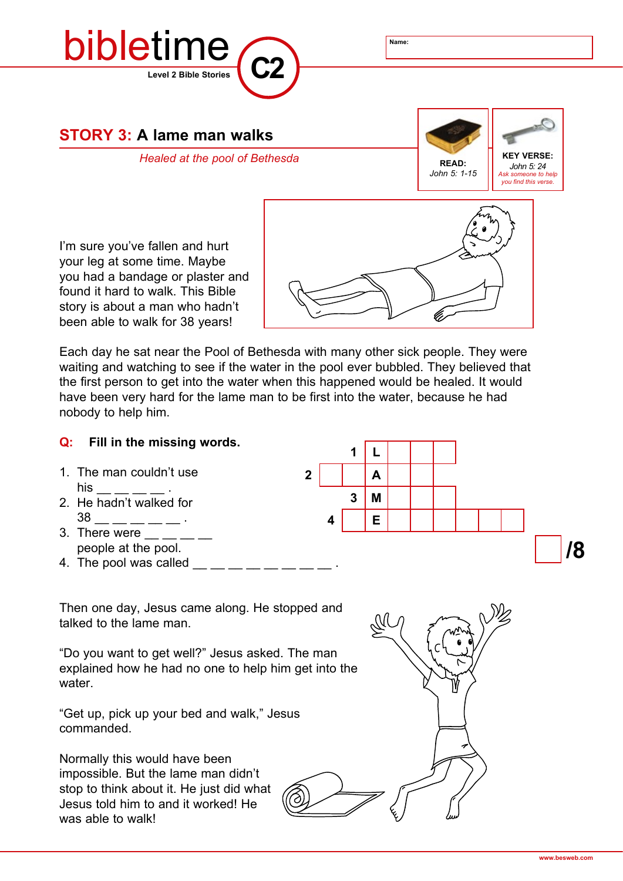

Each day he sat near the Pool of Bethesda with many other sick people. They were waiting and watching to see if the water in the pool ever bubbled. They believed that the first person to get into the water when this happened would be healed. It would have been very hard for the lame man to be first into the water, because he had nobody to help him.

### **/8 Q: Fill in the missing words.** 1. The man couldn't use his \_\_ \_\_ \_\_ \_\_ . 2. He hadn't walked for 38 \_\_ \_\_ \_\_ \_\_ \_\_ . 3. There were people at the pool. 4. The pool was called Then one day, Jesus came along. He stopped and talked to the lame man. "Do you want to get well?" Jesus asked. The man explained how he had no one to help him get into the water. "Get up, pick up your bed and walk," Jesus **1 L 2 A 3 M 4 E**

Normally this would have been impossible. But the lame man didn't stop to think about it. He just did what Jesus told him to and it worked! He was able to walk!

commanded.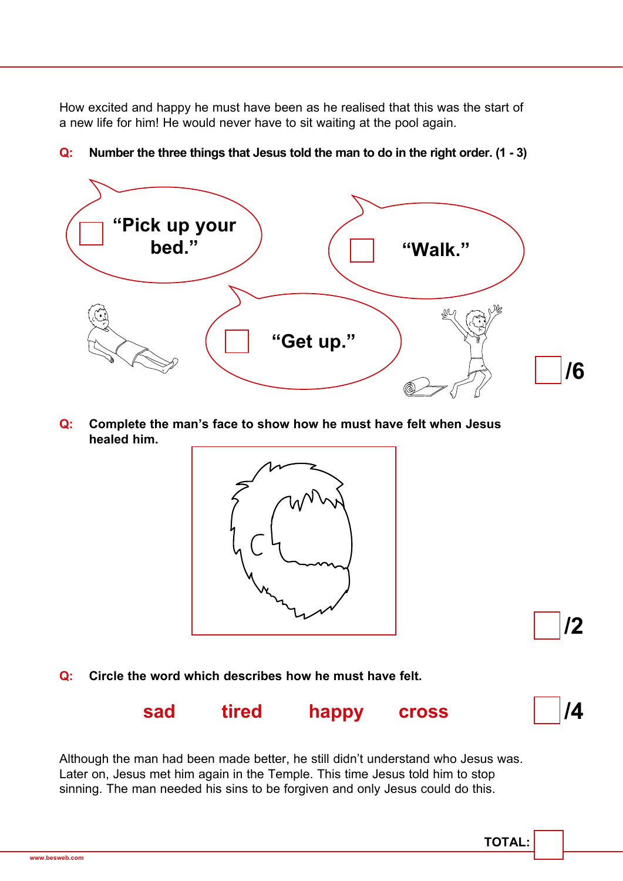How excited and happy he must have been as he realised that this was the start of a new life for him! He would never have to sit waiting at the pool again.



**Q: Number the three things that Jesus told the man to do in the right order. (1 - 3)**

**Q: Complete the man's face to show how he must have felt when Jesus healed him.**



**Q: Circle the word which describes how he must have felt.**



Although the man had been made better, he still didn't understand who Jesus was. Later on, Jesus met him again in the Temple. This time Jesus told him to stop sinning. The man needed his sins to be forgiven and only Jesus could do this.

**/2**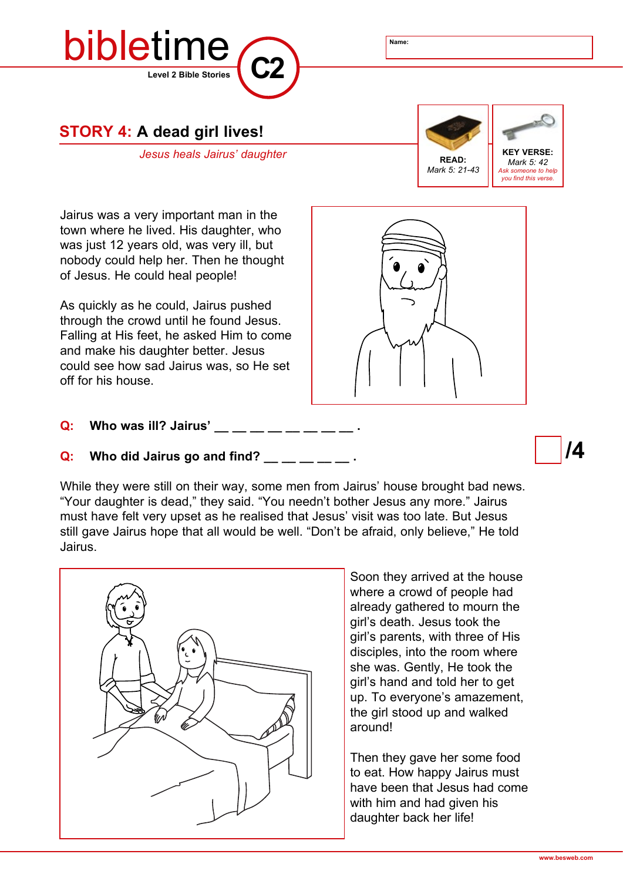



**STORY 4: A dead girl lives!**

*Jesus heals Jairus' daughter* **KEY VERSE:** 



*Mark 5: 42 Ask someone to help you find this verse.*

Jairus was a very important man in the town where he lived. His daughter, who was just 12 years old, was very ill, but nobody could help her. Then he thought of Jesus. He could heal people!

As quickly as he could, Jairus pushed through the crowd until he found Jesus. Falling at His feet, he asked Him to come and make his daughter better. Jesus could see how sad Jairus was, so He set off for his house.

**Q:** Who was ill? Jairus'

#### **Q:** Who did Jairus go and find?

While they were still on their way, some men from Jairus' house brought bad news. "Your daughter is dead," they said. "You needn't bother Jesus any more." Jairus must have felt very upset as he realised that Jesus' visit was too late. But Jesus still gave Jairus hope that all would be well. "Don't be afraid, only believe," He told Jairus.



Soon they arrived at the house where a crowd of people had already gathered to mourn the girl's death. Jesus took the girl's parents, with three of His disciples, into the room where she was. Gently, He took the girl's hand and told her to get up. To everyone's amazement, the girl stood up and walked around!

Then they gave her some food to eat. How happy Jairus must have been that Jesus had come with him and had given his daughter back her life!

**/4**